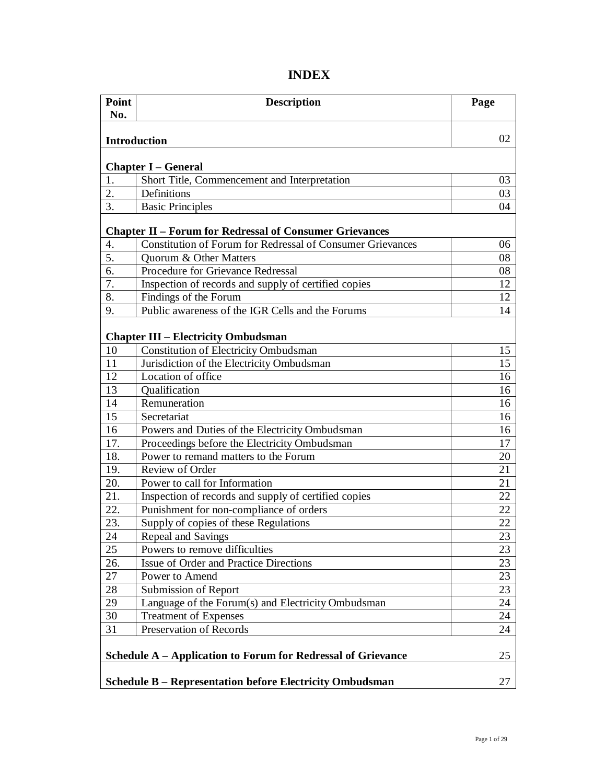| Point<br>No.     | <b>Description</b>                                                | Page            |
|------------------|-------------------------------------------------------------------|-----------------|
|                  |                                                                   |                 |
| Introduction     |                                                                   | 02              |
|                  |                                                                   |                 |
|                  | <b>Chapter I – General</b>                                        |                 |
| 1.               | Short Title, Commencement and Interpretation                      | 03              |
| 2.               | Definitions                                                       | 03              |
| 3.               | <b>Basic Principles</b>                                           | 04              |
|                  | <b>Chapter II - Forum for Redressal of Consumer Grievances</b>    |                 |
| 4.               | <b>Constitution of Forum for Redressal of Consumer Grievances</b> | 06              |
| 5.               | <b>Ouorum &amp; Other Matters</b>                                 | 08              |
| $\overline{6}$ . | Procedure for Grievance Redressal                                 | 08              |
| 7.               | Inspection of records and supply of certified copies              | 12              |
| 8.               | Findings of the Forum                                             | 12              |
| 9.               | Public awareness of the IGR Cells and the Forums                  | 14              |
|                  |                                                                   |                 |
|                  | <b>Chapter III – Electricity Ombudsman</b>                        |                 |
| 10               | <b>Constitution of Electricity Ombudsman</b>                      | 15              |
| 11               | Jurisdiction of the Electricity Ombudsman                         | 15              |
| 12               | Location of office                                                | 16              |
| 13               | Qualification                                                     | 16              |
| 14               | Remuneration                                                      | 16              |
| 15               | Secretariat                                                       | 16              |
| 16               | Powers and Duties of the Electricity Ombudsman                    | 16              |
| 17.              | Proceedings before the Electricity Ombudsman                      | 17              |
| 18.              | Power to remand matters to the Forum                              | 20              |
| 19.              | Review of Order                                                   | 21              |
| 20.              | Power to call for Information                                     | 21              |
| 21.              | Inspection of records and supply of certified copies              | 22              |
| 22.              | Punishment for non-compliance of orders                           | 22              |
| 23.              | Supply of copies of these Regulations                             | 22              |
| 24               | <b>Repeal and Savings</b>                                         | $\overline{23}$ |
| 25               | Powers to remove difficulties                                     | 23              |
| 26.              | Issue of Order and Practice Directions                            | 23              |
| 27               | Power to Amend                                                    | 23              |
| 28               | Submission of Report                                              | 23              |
| 29               | Language of the Forum(s) and Electricity Ombudsman                | 24              |
| 30               | <b>Treatment of Expenses</b>                                      | 24              |
| 31               | <b>Preservation of Records</b>                                    | 24              |
|                  |                                                                   |                 |
|                  | Schedule A – Application to Forum for Redressal of Grievance      | 25              |
|                  | <b>Schedule B - Representation before Electricity Ombudsman</b>   | 27              |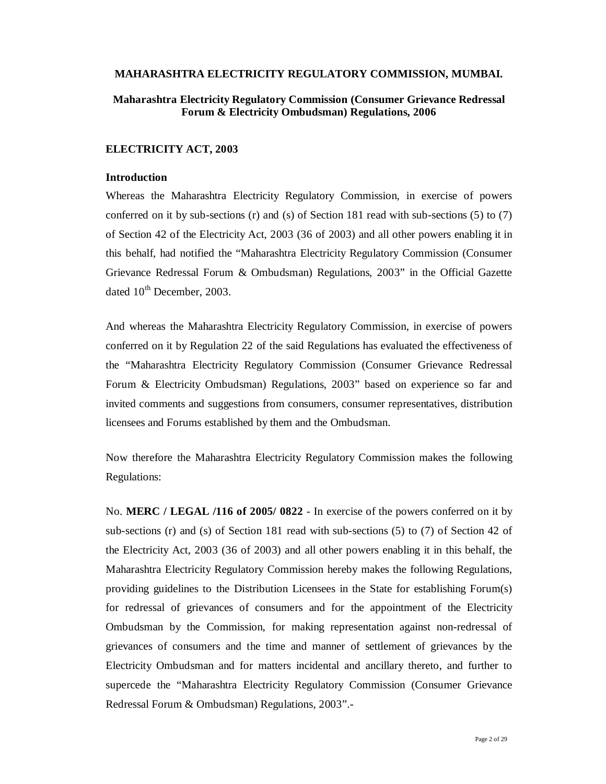#### **MAHARASHTRA ELECTRICITY REGULATORY COMMISSION, MUMBAI.**

## **Maharashtra Electricity Regulatory Commission (Consumer Grievance Redressal Forum & Electricity Ombudsman) Regulations, 2006**

#### **ELECTRICITY ACT, 2003**

#### **Introduction**

Whereas the Maharashtra Electricity Regulatory Commission, in exercise of powers conferred on it by sub-sections (r) and (s) of Section 181 read with sub-sections (5) to (7) of Section 42 of the Electricity Act, 2003 (36 of 2003) and all other powers enabling it in this behalf, had notified the "Maharashtra Electricity Regulatory Commission (Consumer Grievance Redressal Forum & Ombudsman) Regulations, 2003" in the Official Gazette dated  $10^{th}$  December, 2003.

And whereas the Maharashtra Electricity Regulatory Commission, in exercise of powers conferred on it by Regulation 22 of the said Regulations has evaluated the effectiveness of the "Maharashtra Electricity Regulatory Commission (Consumer Grievance Redressal Forum & Electricity Ombudsman) Regulations, 2003" based on experience so far and invited comments and suggestions from consumers, consumer representatives, distribution licensees and Forums established by them and the Ombudsman.

Now therefore the Maharashtra Electricity Regulatory Commission makes the following Regulations:

No. **MERC / LEGAL /116 of 2005/ 0822** - In exercise of the powers conferred on it by sub-sections (r) and (s) of Section 181 read with sub-sections (5) to (7) of Section 42 of the Electricity Act, 2003 (36 of 2003) and all other powers enabling it in this behalf, the Maharashtra Electricity Regulatory Commission hereby makes the following Regulations, providing guidelines to the Distribution Licensees in the State for establishing Forum(s) for redressal of grievances of consumers and for the appointment of the Electricity Ombudsman by the Commission, for making representation against non-redressal of grievances of consumers and the time and manner of settlement of grievances by the Electricity Ombudsman and for matters incidental and ancillary thereto, and further to supercede the "Maharashtra Electricity Regulatory Commission (Consumer Grievance Redressal Forum & Ombudsman) Regulations, 2003".-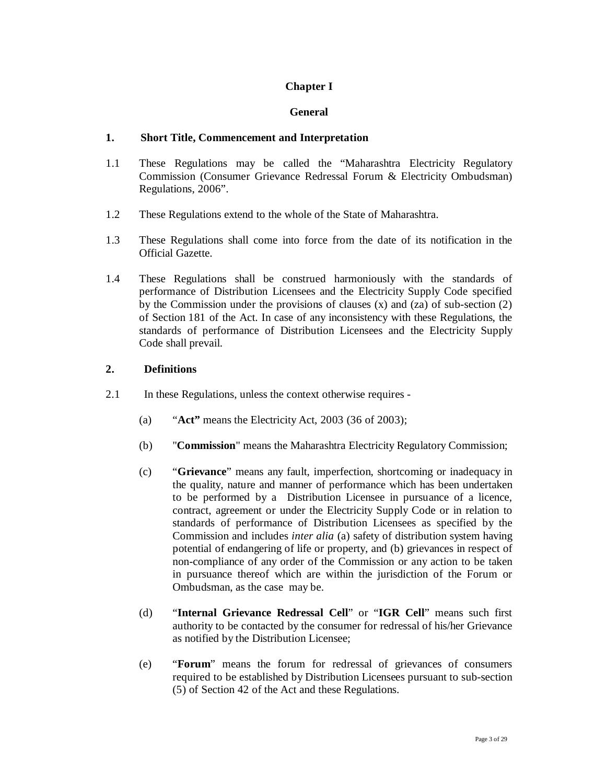# **Chapter I**

### **General**

### **1. Short Title, Commencement and Interpretation**

- 1.1 These Regulations may be called the "Maharashtra Electricity Regulatory Commission (Consumer Grievance Redressal Forum & Electricity Ombudsman) Regulations, 2006".
- 1.2 These Regulations extend to the whole of the State of Maharashtra.
- 1.3 These Regulations shall come into force from the date of its notification in the Official Gazette.
- 1.4 These Regulations shall be construed harmoniously with the standards of performance of Distribution Licensees and the Electricity Supply Code specified by the Commission under the provisions of clauses  $(x)$  and  $(za)$  of sub-section  $(2)$ of Section 181 of the Act. In case of any inconsistency with these Regulations, the standards of performance of Distribution Licensees and the Electricity Supply Code shall prevail.

## **2. Definitions**

- 2.1 In these Regulations, unless the context otherwise requires
	- (a) "**Act"** means the Electricity Act, 2003 (36 of 2003);
	- (b) "**Commission**" means the Maharashtra Electricity Regulatory Commission;
	- (c) "**Grievance**" means any fault, imperfection, shortcoming or inadequacy in the quality, nature and manner of performance which has been undertaken to be performed by a Distribution Licensee in pursuance of a licence, contract, agreement or under the Electricity Supply Code or in relation to standards of performance of Distribution Licensees as specified by the Commission and includes *inter alia* (a) safety of distribution system having potential of endangering of life or property, and (b) grievances in respect of non-compliance of any order of the Commission or any action to be taken in pursuance thereof which are within the jurisdiction of the Forum or Ombudsman, as the case may be.
	- (d) "**Internal Grievance Redressal Cell**" or "**IGR Cell**" means such first authority to be contacted by the consumer for redressal of his/her Grievance as notified by the Distribution Licensee;
	- (e) "**Forum**" means the forum for redressal of grievances of consumers required to be established by Distribution Licensees pursuant to sub-section (5) of Section 42 of the Act and these Regulations.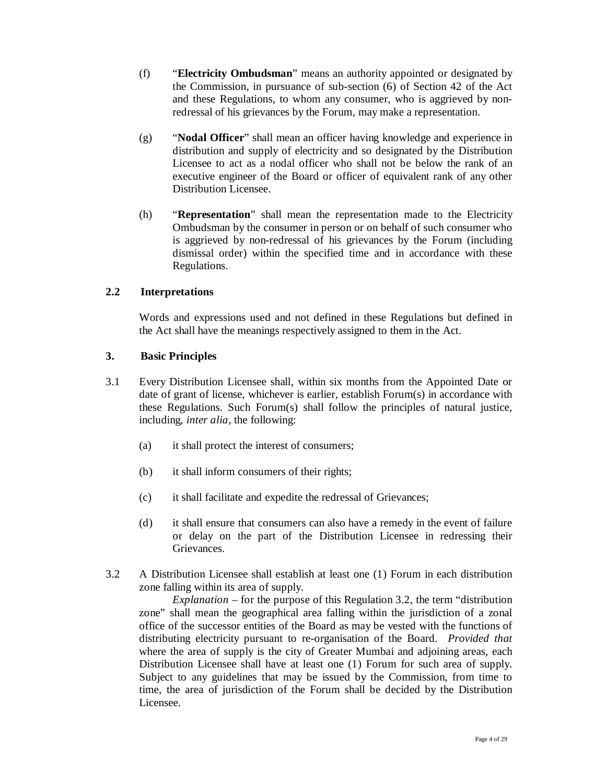- (f) "**Electricity Ombudsman**" means an authority appointed or designated by the Commission, in pursuance of sub-section (6) of Section 42 of the Act and these Regulations, to whom any consumer, who is aggrieved by nonredressal of his grievances by the Forum, may make a representation.
- (g) "**Nodal Officer**" shall mean an officer having knowledge and experience in distribution and supply of electricity and so designated by the Distribution Licensee to act as a nodal officer who shall not be below the rank of an executive engineer of the Board or officer of equivalent rank of any other Distribution Licensee.
- (h) "**Representation**" shall mean the representation made to the Electricity Ombudsman by the consumer in person or on behalf of such consumer who is aggrieved by non-redressal of his grievances by the Forum (including dismissal order) within the specified time and in accordance with these Regulations.

## **2.2 Interpretations**

Words and expressions used and not defined in these Regulations but defined in the Act shall have the meanings respectively assigned to them in the Act.

## **3. Basic Principles**

- 3.1 Every Distribution Licensee shall, within six months from the Appointed Date or date of grant of license, whichever is earlier, establish Forum(s) in accordance with these Regulations. Such Forum(s) shall follow the principles of natural justice, including, *inter alia,* the following:
	- (a) it shall protect the interest of consumers;
	- (b) it shall inform consumers of their rights;
	- (c) it shall facilitate and expedite the redressal of Grievances;
	- (d) it shall ensure that consumers can also have a remedy in the event of failure or delay on the part of the Distribution Licensee in redressing their Grievances.
- 3.2 A Distribution Licensee shall establish at least one (1) Forum in each distribution zone falling within its area of supply.

*Explanation* – for the purpose of this Regulation 3.2, the term "distribution zone" shall mean the geographical area falling within the jurisdiction of a zonal office of the successor entities of the Board as may be vested with the functions of distributing electricity pursuant to re-organisation of the Board. *Provided that* where the area of supply is the city of Greater Mumbai and adjoining areas, each Distribution Licensee shall have at least one (1) Forum for such area of supply. Subject to any guidelines that may be issued by the Commission, from time to time, the area of jurisdiction of the Forum shall be decided by the Distribution Licensee.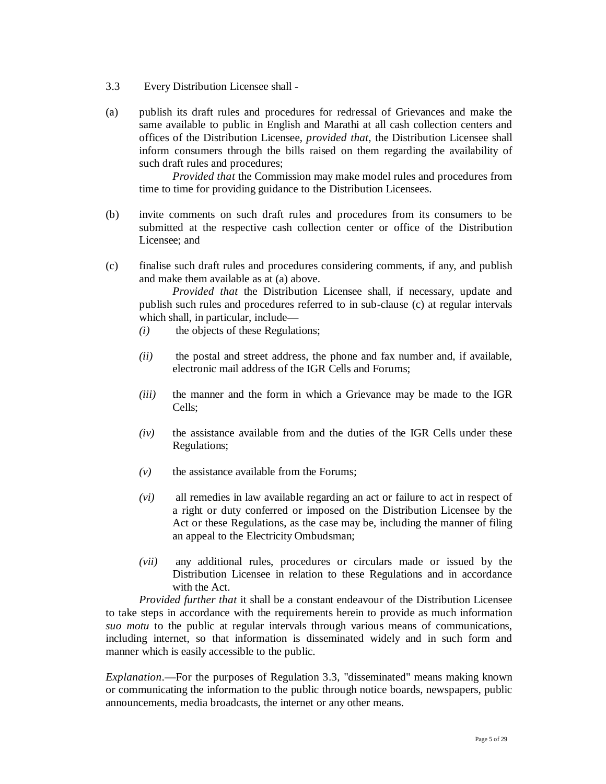- 3.3 Every Distribution Licensee shall -
- (a) publish its draft rules and procedures for redressal of Grievances and make the same available to public in English and Marathi at all cash collection centers and offices of the Distribution Licensee, *provided that*, the Distribution Licensee shall inform consumers through the bills raised on them regarding the availability of such draft rules and procedures;

*Provided that* the Commission may make model rules and procedures from time to time for providing guidance to the Distribution Licensees.

- (b) invite comments on such draft rules and procedures from its consumers to be submitted at the respective cash collection center or office of the Distribution Licensee; and
- (c) finalise such draft rules and procedures considering comments, if any, and publish and make them available as at (a) above.

*Provided that* the Distribution Licensee shall, if necessary, update and publish such rules and procedures referred to in sub-clause (c) at regular intervals which shall, in particular, include—

- *(i)* the objects of these Regulations;
- *(ii)* the postal and street address, the phone and fax number and, if available, electronic mail address of the IGR Cells and Forums;
- *(iii)* the manner and the form in which a Grievance may be made to the IGR Cells;
- *(iv)* the assistance available from and the duties of the IGR Cells under these Regulations;
- *(v)* the assistance available from the Forums;
- *(vi)* all remedies in law available regarding an act or failure to act in respect of a right or duty conferred or imposed on the Distribution Licensee by the Act or these Regulations, as the case may be, including the manner of filing an appeal to the Electricity Ombudsman;
- *(vii)* any additional rules, procedures or circulars made or issued by the Distribution Licensee in relation to these Regulations and in accordance with the Act.

*Provided further that* it shall be a constant endeavour of the Distribution Licensee to take steps in accordance with the requirements herein to provide as much information *suo motu* to the public at regular intervals through various means of communications, including internet, so that information is disseminated widely and in such form and manner which is easily accessible to the public.

*Explanation*.—For the purposes of Regulation 3.3, "disseminated" means making known or communicating the information to the public through notice boards, newspapers, public announcements, media broadcasts, the internet or any other means.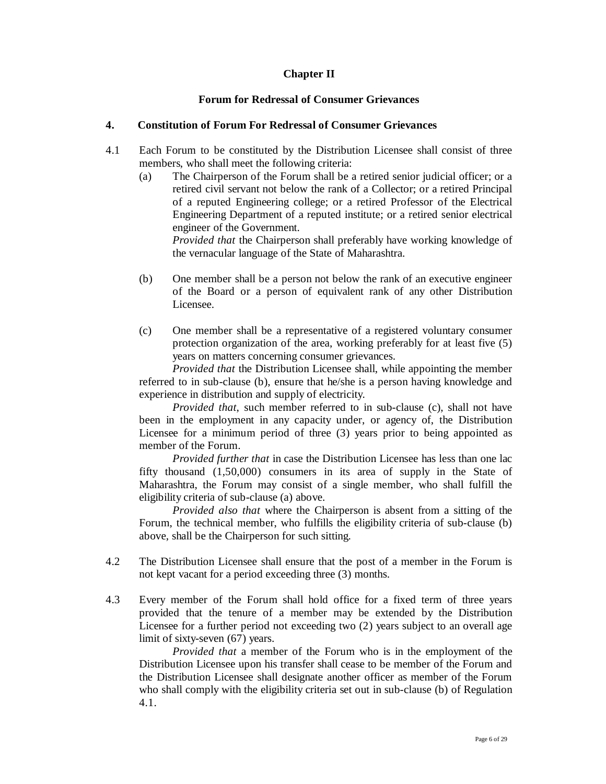## **Chapter II**

#### **Forum for Redressal of Consumer Grievances**

#### **4. Constitution of Forum For Redressal of Consumer Grievances**

- 4.1 Each Forum to be constituted by the Distribution Licensee shall consist of three members, who shall meet the following criteria:
	- (a) The Chairperson of the Forum shall be a retired senior judicial officer; or a retired civil servant not below the rank of a Collector; or a retired Principal of a reputed Engineering college; or a retired Professor of the Electrical Engineering Department of a reputed institute; or a retired senior electrical engineer of the Government.

*Provided that* the Chairperson shall preferably have working knowledge of the vernacular language of the State of Maharashtra.

- (b) One member shall be a person not below the rank of an executive engineer of the Board or a person of equivalent rank of any other Distribution Licensee.
- (c) One member shall be a representative of a registered voluntary consumer protection organization of the area, working preferably for at least five (5) years on matters concerning consumer grievances.

*Provided that* the Distribution Licensee shall, while appointing the member referred to in sub-clause (b), ensure that he/she is a person having knowledge and experience in distribution and supply of electricity.

*Provided that*, such member referred to in sub-clause (c), shall not have been in the employment in any capacity under, or agency of, the Distribution Licensee for a minimum period of three (3) years prior to being appointed as member of the Forum.

*Provided further that* in case the Distribution Licensee has less than one lac fifty thousand (1,50,000) consumers in its area of supply in the State of Maharashtra, the Forum may consist of a single member, who shall fulfill the eligibility criteria of sub-clause (a) above.

*Provided also that* where the Chairperson is absent from a sitting of the Forum, the technical member, who fulfills the eligibility criteria of sub-clause (b) above, shall be the Chairperson for such sitting.

- 4.2 The Distribution Licensee shall ensure that the post of a member in the Forum is not kept vacant for a period exceeding three (3) months.
- 4.3 Every member of the Forum shall hold office for a fixed term of three years provided that the tenure of a member may be extended by the Distribution Licensee for a further period not exceeding two (2) years subject to an overall age limit of sixty-seven (67) years.

*Provided that* a member of the Forum who is in the employment of the Distribution Licensee upon his transfer shall cease to be member of the Forum and the Distribution Licensee shall designate another officer as member of the Forum who shall comply with the eligibility criteria set out in sub-clause (b) of Regulation 4.1.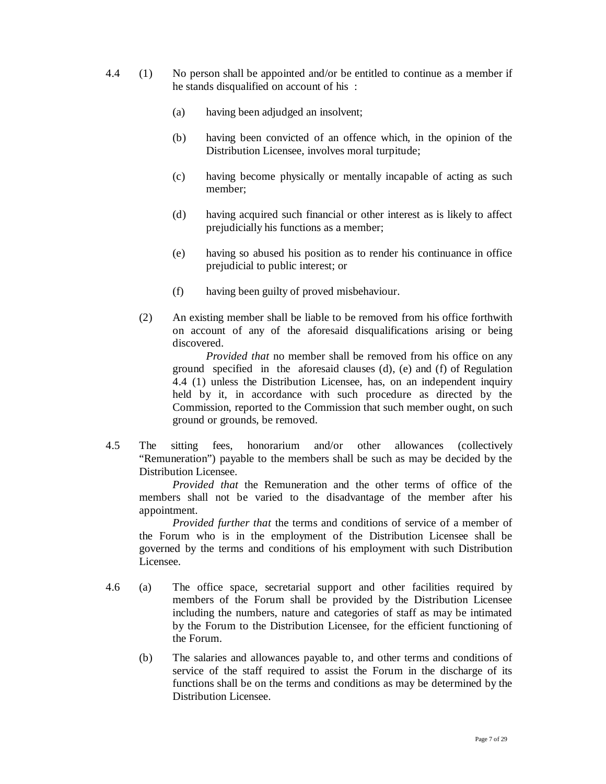- 4.4 (1) No person shall be appointed and/or be entitled to continue as a member if he stands disqualified on account of his :
	- (a) having been adjudged an insolvent;
	- (b) having been convicted of an offence which, in the opinion of the Distribution Licensee, involves moral turpitude;
	- (c) having become physically or mentally incapable of acting as such member;
	- (d) having acquired such financial or other interest as is likely to affect prejudicially his functions as a member;
	- (e) having so abused his position as to render his continuance in office prejudicial to public interest; or
	- (f) having been guilty of proved misbehaviour.
	- (2) An existing member shall be liable to be removed from his office forthwith on account of any of the aforesaid disqualifications arising or being discovered.

*Provided that* no member shall be removed from his office on any ground specified in the aforesaid clauses (d), (e) and (f) of Regulation 4.4 (1) unless the Distribution Licensee, has, on an independent inquiry held by it, in accordance with such procedure as directed by the Commission, reported to the Commission that such member ought, on such ground or grounds, be removed.

4.5 The sitting fees, honorarium and/or other allowances (collectively "Remuneration") payable to the members shall be such as may be decided by the Distribution Licensee.

*Provided that* the Remuneration and the other terms of office of the members shall not be varied to the disadvantage of the member after his appointment.

*Provided further that* the terms and conditions of service of a member of the Forum who is in the employment of the Distribution Licensee shall be governed by the terms and conditions of his employment with such Distribution Licensee.

- 4.6 (a) The office space, secretarial support and other facilities required by members of the Forum shall be provided by the Distribution Licensee including the numbers, nature and categories of staff as may be intimated by the Forum to the Distribution Licensee, for the efficient functioning of the Forum.
	- (b) The salaries and allowances payable to, and other terms and conditions of service of the staff required to assist the Forum in the discharge of its functions shall be on the terms and conditions as may be determined by the Distribution Licensee.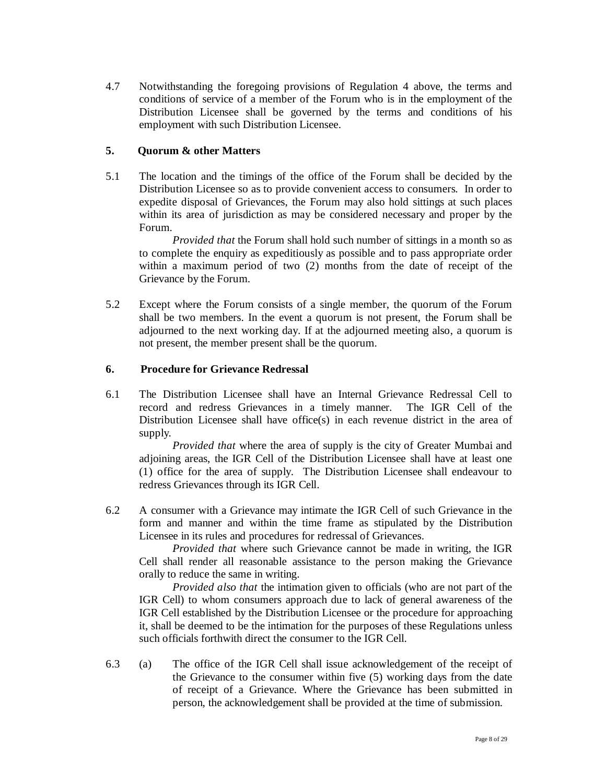4.7 Notwithstanding the foregoing provisions of Regulation 4 above, the terms and conditions of service of a member of the Forum who is in the employment of the Distribution Licensee shall be governed by the terms and conditions of his employment with such Distribution Licensee.

## **5. Quorum & other Matters**

5.1 The location and the timings of the office of the Forum shall be decided by the Distribution Licensee so as to provide convenient access to consumers. In order to expedite disposal of Grievances, the Forum may also hold sittings at such places within its area of jurisdiction as may be considered necessary and proper by the Forum.

*Provided that* the Forum shall hold such number of sittings in a month so as to complete the enquiry as expeditiously as possible and to pass appropriate order within a maximum period of two (2) months from the date of receipt of the Grievance by the Forum.

5.2 Except where the Forum consists of a single member, the quorum of the Forum shall be two members. In the event a quorum is not present, the Forum shall be adjourned to the next working day. If at the adjourned meeting also, a quorum is not present, the member present shall be the quorum.

### **6. Procedure for Grievance Redressal**

6.1 The Distribution Licensee shall have an Internal Grievance Redressal Cell to record and redress Grievances in a timely manner. The IGR Cell of the Distribution Licensee shall have office(s) in each revenue district in the area of supply.

*Provided that* where the area of supply is the city of Greater Mumbai and adjoining areas, the IGR Cell of the Distribution Licensee shall have at least one (1) office for the area of supply. The Distribution Licensee shall endeavour to redress Grievances through its IGR Cell.

6.2 A consumer with a Grievance may intimate the IGR Cell of such Grievance in the form and manner and within the time frame as stipulated by the Distribution Licensee in its rules and procedures for redressal of Grievances.

*Provided that* where such Grievance cannot be made in writing, the IGR Cell shall render all reasonable assistance to the person making the Grievance orally to reduce the same in writing.

*Provided also that* the intimation given to officials (who are not part of the IGR Cell) to whom consumers approach due to lack of general awareness of the IGR Cell established by the Distribution Licensee or the procedure for approaching it, shall be deemed to be the intimation for the purposes of these Regulations unless such officials forthwith direct the consumer to the IGR Cell.

6.3 (a) The office of the IGR Cell shall issue acknowledgement of the receipt of the Grievance to the consumer within five (5) working days from the date of receipt of a Grievance. Where the Grievance has been submitted in person, the acknowledgement shall be provided at the time of submission.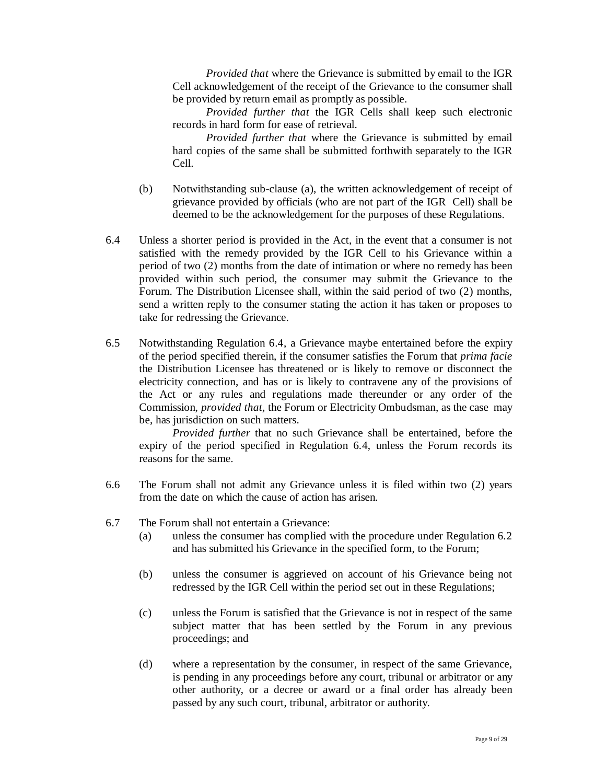*Provided that* where the Grievance is submitted by email to the IGR Cell acknowledgement of the receipt of the Grievance to the consumer shall be provided by return email as promptly as possible.

*Provided further that* the IGR Cells shall keep such electronic records in hard form for ease of retrieval.

*Provided further that* where the Grievance is submitted by email hard copies of the same shall be submitted forthwith separately to the IGR Cell.

- (b) Notwithstanding sub-clause (a), the written acknowledgement of receipt of grievance provided by officials (who are not part of the IGR Cell) shall be deemed to be the acknowledgement for the purposes of these Regulations.
- 6.4 Unless a shorter period is provided in the Act, in the event that a consumer is not satisfied with the remedy provided by the IGR Cell to his Grievance within a period of two (2) months from the date of intimation or where no remedy has been provided within such period, the consumer may submit the Grievance to the Forum. The Distribution Licensee shall, within the said period of two (2) months, send a written reply to the consumer stating the action it has taken or proposes to take for redressing the Grievance.
- 6.5 Notwithstanding Regulation 6.4, a Grievance maybe entertained before the expiry of the period specified therein, if the consumer satisfies the Forum that *prima facie* the Distribution Licensee has threatened or is likely to remove or disconnect the electricity connection, and has or is likely to contravene any of the provisions of the Act or any rules and regulations made thereunder or any order of the Commission, *provided that,* the Forum or Electricity Ombudsman, as the case may be, has jurisdiction on such matters.

 *Provided further* that no such Grievance shall be entertained, before the expiry of the period specified in Regulation 6.4, unless the Forum records its reasons for the same.

- 6.6 The Forum shall not admit any Grievance unless it is filed within two (2) years from the date on which the cause of action has arisen.
- 6.7 The Forum shall not entertain a Grievance:
	- (a) unless the consumer has complied with the procedure under Regulation 6.2 and has submitted his Grievance in the specified form, to the Forum;
	- (b) unless the consumer is aggrieved on account of his Grievance being not redressed by the IGR Cell within the period set out in these Regulations;
	- (c) unless the Forum is satisfied that the Grievance is not in respect of the same subject matter that has been settled by the Forum in any previous proceedings; and
	- (d) where a representation by the consumer, in respect of the same Grievance, is pending in any proceedings before any court, tribunal or arbitrator or any other authority, or a decree or award or a final order has already been passed by any such court, tribunal, arbitrator or authority.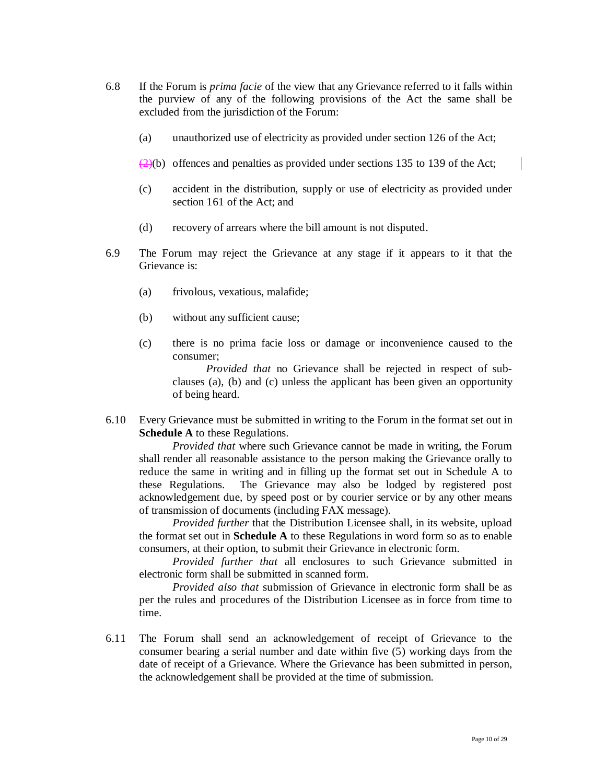- 6.8 If the Forum is *prima facie* of the view that any Grievance referred to it falls within the purview of any of the following provisions of the Act the same shall be excluded from the jurisdiction of the Forum:
	- (a) unauthorized use of electricity as provided under section 126 of the Act;
	- $\left(2\right)$  offences and penalties as provided under sections 135 to 139 of the Act;
	- (c) accident in the distribution, supply or use of electricity as provided under section 161 of the Act; and
	- (d) recovery of arrears where the bill amount is not disputed.
- 6.9 The Forum may reject the Grievance at any stage if it appears to it that the Grievance is:
	- (a) frivolous, vexatious, malafide;
	- (b) without any sufficient cause;
	- (c) there is no prima facie loss or damage or inconvenience caused to the consumer;

*Provided that* no Grievance shall be rejected in respect of subclauses (a), (b) and (c) unless the applicant has been given an opportunity of being heard.

6.10 Every Grievance must be submitted in writing to the Forum in the format set out in **Schedule A** to these Regulations.

*Provided that* where such Grievance cannot be made in writing, the Forum shall render all reasonable assistance to the person making the Grievance orally to reduce the same in writing and in filling up the format set out in Schedule A to these Regulations. The Grievance may also be lodged by registered post acknowledgement due, by speed post or by courier service or by any other means of transmission of documents (including FAX message).

*Provided further* that the Distribution Licensee shall, in its website, upload the format set out in **Schedule A** to these Regulations in word form so as to enable consumers, at their option, to submit their Grievance in electronic form.

*Provided further that* all enclosures to such Grievance submitted in electronic form shall be submitted in scanned form.

*Provided also that* submission of Grievance in electronic form shall be as per the rules and procedures of the Distribution Licensee as in force from time to time.

6.11 The Forum shall send an acknowledgement of receipt of Grievance to the consumer bearing a serial number and date within five (5) working days from the date of receipt of a Grievance. Where the Grievance has been submitted in person, the acknowledgement shall be provided at the time of submission.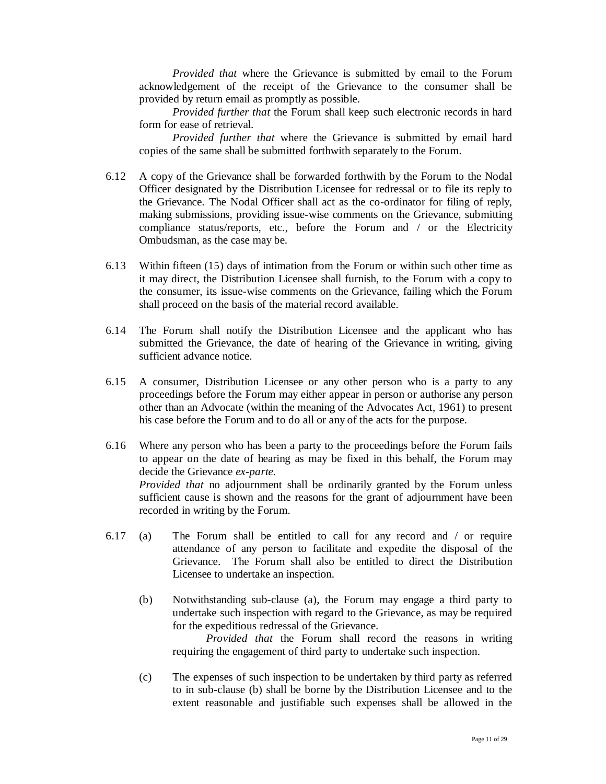*Provided that* where the Grievance is submitted by email to the Forum acknowledgement of the receipt of the Grievance to the consumer shall be provided by return email as promptly as possible.

*Provided further that* the Forum shall keep such electronic records in hard form for ease of retrieval.

 *Provided further that* where the Grievance is submitted by email hard copies of the same shall be submitted forthwith separately to the Forum.

- 6.12 A copy of the Grievance shall be forwarded forthwith by the Forum to the Nodal Officer designated by the Distribution Licensee for redressal or to file its reply to the Grievance. The Nodal Officer shall act as the co-ordinator for filing of reply, making submissions, providing issue-wise comments on the Grievance, submitting compliance status/reports, etc., before the Forum and / or the Electricity Ombudsman, as the case may be.
- 6.13 Within fifteen (15) days of intimation from the Forum or within such other time as it may direct, the Distribution Licensee shall furnish, to the Forum with a copy to the consumer, its issue-wise comments on the Grievance, failing which the Forum shall proceed on the basis of the material record available.
- 6.14 The Forum shall notify the Distribution Licensee and the applicant who has submitted the Grievance, the date of hearing of the Grievance in writing, giving sufficient advance notice.
- 6.15 A consumer, Distribution Licensee or any other person who is a party to any proceedings before the Forum may either appear in person or authorise any person other than an Advocate (within the meaning of the Advocates Act, 1961) to present his case before the Forum and to do all or any of the acts for the purpose.
- 6.16 Where any person who has been a party to the proceedings before the Forum fails to appear on the date of hearing as may be fixed in this behalf, the Forum may decide the Grievance *ex-parte*. *Provided that* no adjournment shall be ordinarily granted by the Forum unless sufficient cause is shown and the reasons for the grant of adjournment have been recorded in writing by the Forum.
- 6.17 (a) The Forum shall be entitled to call for any record and / or require attendance of any person to facilitate and expedite the disposal of the Grievance. The Forum shall also be entitled to direct the Distribution Licensee to undertake an inspection.
	- (b) Notwithstanding sub-clause (a), the Forum may engage a third party to undertake such inspection with regard to the Grievance, as may be required for the expeditious redressal of the Grievance.

*Provided that* the Forum shall record the reasons in writing requiring the engagement of third party to undertake such inspection.

(c) The expenses of such inspection to be undertaken by third party as referred to in sub-clause (b) shall be borne by the Distribution Licensee and to the extent reasonable and justifiable such expenses shall be allowed in the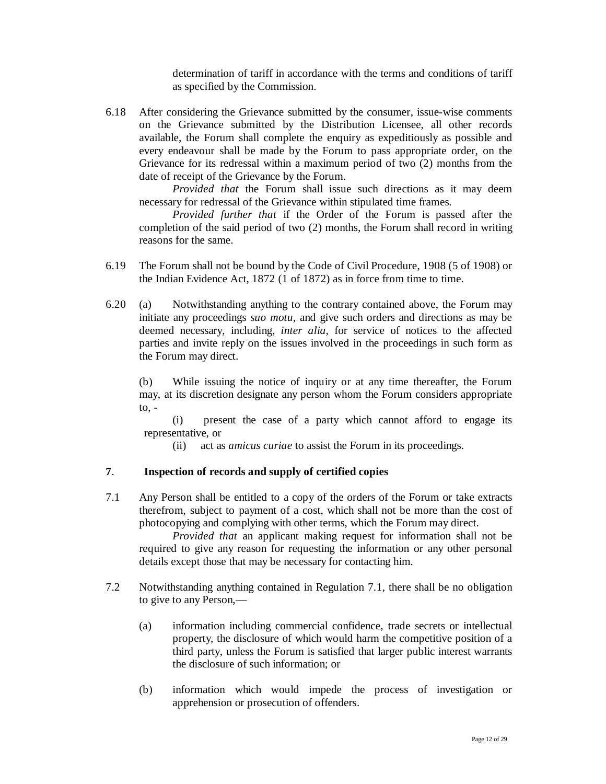determination of tariff in accordance with the terms and conditions of tariff as specified by the Commission.

6.18 After considering the Grievance submitted by the consumer, issue-wise comments on the Grievance submitted by the Distribution Licensee, all other records available, the Forum shall complete the enquiry as expeditiously as possible and every endeavour shall be made by the Forum to pass appropriate order, on the Grievance for its redressal within a maximum period of two (2) months from the date of receipt of the Grievance by the Forum.

*Provided that* the Forum shall issue such directions as it may deem necessary for redressal of the Grievance within stipulated time frames.

*Provided further that* if the Order of the Forum is passed after the completion of the said period of two (2) months, the Forum shall record in writing reasons for the same.

- 6.19 The Forum shall not be bound by the Code of Civil Procedure, 1908 (5 of 1908) or the Indian Evidence Act, 1872 (1 of 1872) as in force from time to time.
- 6.20 (a) Notwithstanding anything to the contrary contained above, the Forum may initiate any proceedings *suo motu,* and give such orders and directions as may be deemed necessary, including, *inter alia,* for service of notices to the affected parties and invite reply on the issues involved in the proceedings in such form as the Forum may direct.

 (b) While issuing the notice of inquiry or at any time thereafter, the Forum may, at its discretion designate any person whom the Forum considers appropriate to, -

 (i) present the case of a party which cannot afford to engage its representative, or

(ii) act as *amicus curiae* to assist the Forum in its proceedings.

### **7**. **Inspection of records and supply of certified copies**

7.1 Any Person shall be entitled to a copy of the orders of the Forum or take extracts therefrom, subject to payment of a cost, which shall not be more than the cost of photocopying and complying with other terms, which the Forum may direct.

*Provided that* an applicant making request for information shall not be required to give any reason for requesting the information or any other personal details except those that may be necessary for contacting him.

- 7.2 Notwithstanding anything contained in Regulation 7.1, there shall be no obligation to give to any Person,—
	- (a) information including commercial confidence, trade secrets or intellectual property, the disclosure of which would harm the competitive position of a third party, unless the Forum is satisfied that larger public interest warrants the disclosure of such information; or
	- (b) information which would impede the process of investigation or apprehension or prosecution of offenders.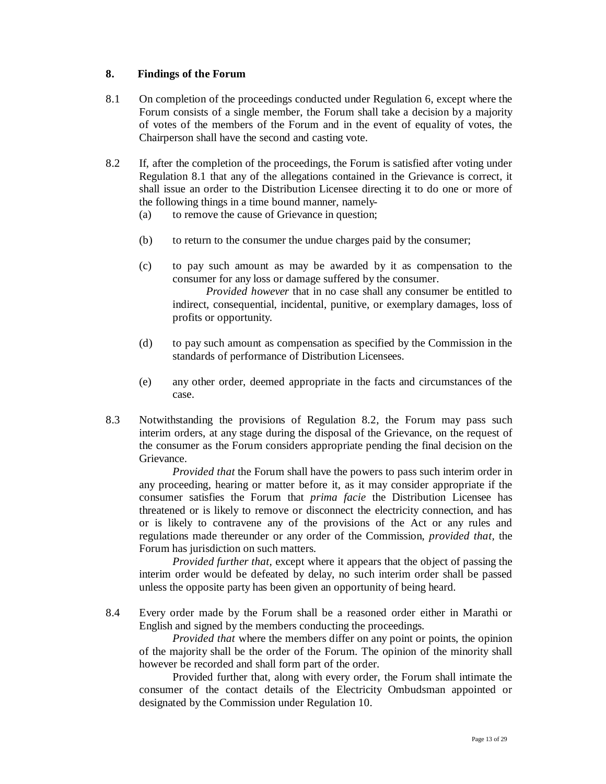### **8. Findings of the Forum**

- 8.1 On completion of the proceedings conducted under Regulation 6, except where the Forum consists of a single member, the Forum shall take a decision by a majority of votes of the members of the Forum and in the event of equality of votes, the Chairperson shall have the second and casting vote.
- 8.2 If, after the completion of the proceedings, the Forum is satisfied after voting under Regulation 8.1 that any of the allegations contained in the Grievance is correct, it shall issue an order to the Distribution Licensee directing it to do one or more of the following things in a time bound manner, namely-
	- (a) to remove the cause of Grievance in question;
	- (b) to return to the consumer the undue charges paid by the consumer;
	- (c) to pay such amount as may be awarded by it as compensation to the consumer for any loss or damage suffered by the consumer.

 *Provided however* that in no case shall any consumer be entitled to indirect, consequential, incidental, punitive, or exemplary damages, loss of profits or opportunity.

- (d) to pay such amount as compensation as specified by the Commission in the standards of performance of Distribution Licensees.
- (e) any other order, deemed appropriate in the facts and circumstances of the case.
- 8.3 Notwithstanding the provisions of Regulation 8.2, the Forum may pass such interim orders, at any stage during the disposal of the Grievance, on the request of the consumer as the Forum considers appropriate pending the final decision on the Grievance.

*Provided that* the Forum shall have the powers to pass such interim order in any proceeding, hearing or matter before it, as it may consider appropriate if the consumer satisfies the Forum that *prima facie* the Distribution Licensee has threatened or is likely to remove or disconnect the electricity connection, and has or is likely to contravene any of the provisions of the Act or any rules and regulations made thereunder or any order of the Commission, *provided that,* the Forum has jurisdiction on such matters.

*Provided further that,* except where it appears that the object of passing the interim order would be defeated by delay, no such interim order shall be passed unless the opposite party has been given an opportunity of being heard.

8.4 Every order made by the Forum shall be a reasoned order either in Marathi or English and signed by the members conducting the proceedings.

*Provided that* where the members differ on any point or points, the opinion of the majority shall be the order of the Forum. The opinion of the minority shall however be recorded and shall form part of the order.

Provided further that, along with every order, the Forum shall intimate the consumer of the contact details of the Electricity Ombudsman appointed or designated by the Commission under Regulation 10.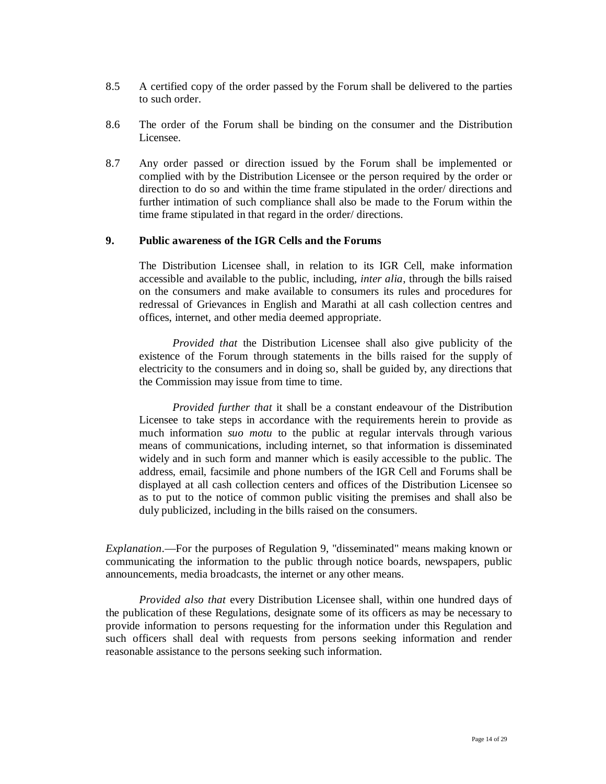- 8.5 A certified copy of the order passed by the Forum shall be delivered to the parties to such order.
- 8.6 The order of the Forum shall be binding on the consumer and the Distribution Licensee.
- 8.7 Any order passed or direction issued by the Forum shall be implemented or complied with by the Distribution Licensee or the person required by the order or direction to do so and within the time frame stipulated in the order/ directions and further intimation of such compliance shall also be made to the Forum within the time frame stipulated in that regard in the order/ directions.

### **9. Public awareness of the IGR Cells and the Forums**

The Distribution Licensee shall, in relation to its IGR Cell, make information accessible and available to the public, including, *inter alia*, through the bills raised on the consumers and make available to consumers its rules and procedures for redressal of Grievances in English and Marathi at all cash collection centres and offices, internet, and other media deemed appropriate.

*Provided that* the Distribution Licensee shall also give publicity of the existence of the Forum through statements in the bills raised for the supply of electricity to the consumers and in doing so, shall be guided by, any directions that the Commission may issue from time to time.

*Provided further that* it shall be a constant endeavour of the Distribution Licensee to take steps in accordance with the requirements herein to provide as much information *suo motu* to the public at regular intervals through various means of communications, including internet, so that information is disseminated widely and in such form and manner which is easily accessible to the public. The address, email, facsimile and phone numbers of the IGR Cell and Forums shall be displayed at all cash collection centers and offices of the Distribution Licensee so as to put to the notice of common public visiting the premises and shall also be duly publicized, including in the bills raised on the consumers.

*Explanation*.—For the purposes of Regulation 9, "disseminated" means making known or communicating the information to the public through notice boards, newspapers, public announcements, media broadcasts, the internet or any other means.

*Provided also that* every Distribution Licensee shall, within one hundred days of the publication of these Regulations, designate some of its officers as may be necessary to provide information to persons requesting for the information under this Regulation and such officers shall deal with requests from persons seeking information and render reasonable assistance to the persons seeking such information.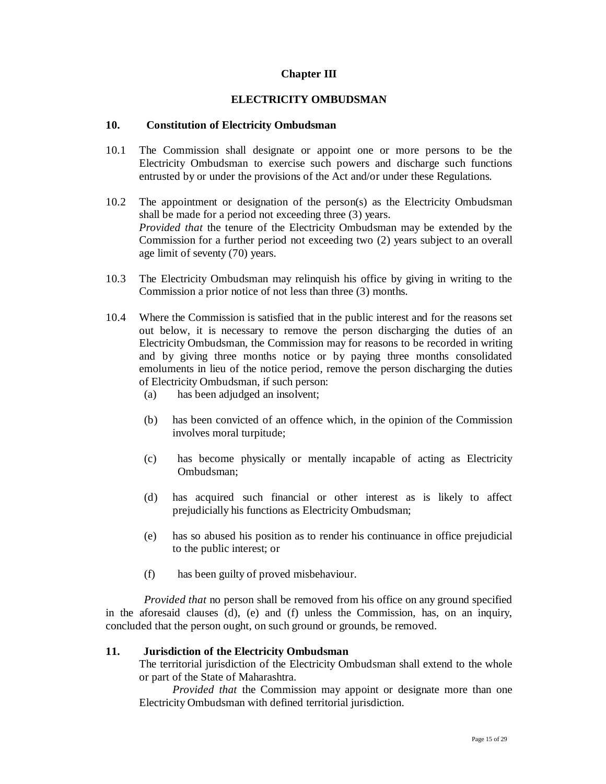## **Chapter III**

### **ELECTRICITY OMBUDSMAN**

### **10. Constitution of Electricity Ombudsman**

- 10.1 The Commission shall designate or appoint one or more persons to be the Electricity Ombudsman to exercise such powers and discharge such functions entrusted by or under the provisions of the Act and/or under these Regulations.
- 10.2 The appointment or designation of the person(s) as the Electricity Ombudsman shall be made for a period not exceeding three (3) years. *Provided that* the tenure of the Electricity Ombudsman may be extended by the Commission for a further period not exceeding two (2) years subject to an overall age limit of seventy (70) years.
- 10.3 The Electricity Ombudsman may relinquish his office by giving in writing to the Commission a prior notice of not less than three (3) months.
- 10.4 Where the Commission is satisfied that in the public interest and for the reasons set out below, it is necessary to remove the person discharging the duties of an Electricity Ombudsman, the Commission may for reasons to be recorded in writing and by giving three months notice or by paying three months consolidated emoluments in lieu of the notice period, remove the person discharging the duties of Electricity Ombudsman, if such person:
	- (a) has been adjudged an insolvent;
	- (b) has been convicted of an offence which, in the opinion of the Commission involves moral turpitude;
	- (c) has become physically or mentally incapable of acting as Electricity Ombudsman;
	- (d) has acquired such financial or other interest as is likely to affect prejudicially his functions as Electricity Ombudsman;
	- (e) has so abused his position as to render his continuance in office prejudicial to the public interest; or
	- (f) has been guilty of proved misbehaviour.

*Provided that* no person shall be removed from his office on any ground specified in the aforesaid clauses (d), (e) and (f) unless the Commission, has, on an inquiry, concluded that the person ought, on such ground or grounds, be removed.

### **11. Jurisdiction of the Electricity Ombudsman**

 The territorial jurisdiction of the Electricity Ombudsman shall extend to the whole or part of the State of Maharashtra.

*Provided that* the Commission may appoint or designate more than one Electricity Ombudsman with defined territorial jurisdiction.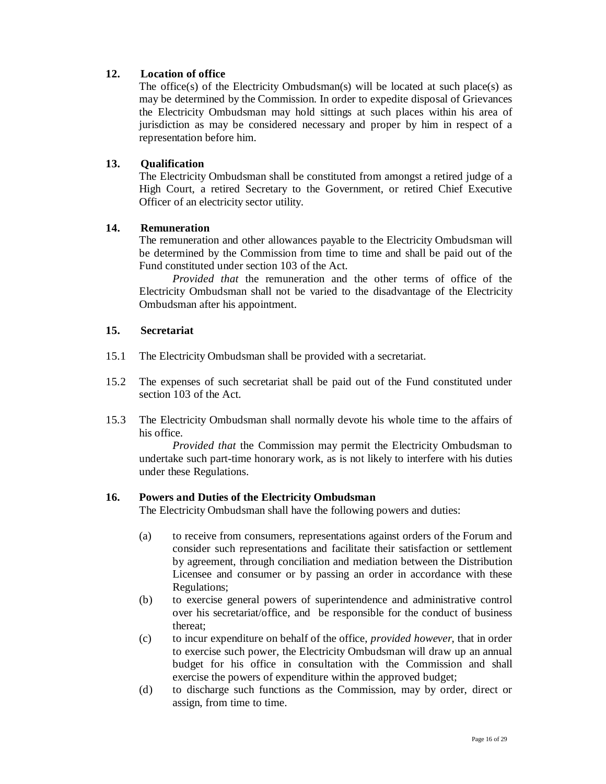## **12. Location of office**

The office(s) of the Electricity Ombudsman(s) will be located at such place(s) as may be determined by the Commission. In order to expedite disposal of Grievances the Electricity Ombudsman may hold sittings at such places within his area of jurisdiction as may be considered necessary and proper by him in respect of a representation before him.

## **13. Qualification**

The Electricity Ombudsman shall be constituted from amongst a retired judge of a High Court, a retired Secretary to the Government, or retired Chief Executive Officer of an electricity sector utility.

## **14. Remuneration**

The remuneration and other allowances payable to the Electricity Ombudsman will be determined by the Commission from time to time and shall be paid out of the Fund constituted under section 103 of the Act.

*Provided that* the remuneration and the other terms of office of the Electricity Ombudsman shall not be varied to the disadvantage of the Electricity Ombudsman after his appointment.

### **15. Secretariat**

- 15.1 The Electricity Ombudsman shall be provided with a secretariat.
- 15.2 The expenses of such secretariat shall be paid out of the Fund constituted under section 103 of the Act.
- 15.3 The Electricity Ombudsman shall normally devote his whole time to the affairs of his office.

*Provided that* the Commission may permit the Electricity Ombudsman to undertake such part-time honorary work, as is not likely to interfere with his duties under these Regulations.

### **16. Powers and Duties of the Electricity Ombudsman**

The Electricity Ombudsman shall have the following powers and duties:

- (a) to receive from consumers, representations against orders of the Forum and consider such representations and facilitate their satisfaction or settlement by agreement, through conciliation and mediation between the Distribution Licensee and consumer or by passing an order in accordance with these Regulations;
- (b) to exercise general powers of superintendence and administrative control over his secretariat/office, and be responsible for the conduct of business thereat;
- (c) to incur expenditure on behalf of the office, *provided however*, that in order to exercise such power, the Electricity Ombudsman will draw up an annual budget for his office in consultation with the Commission and shall exercise the powers of expenditure within the approved budget;
- (d) to discharge such functions as the Commission, may by order, direct or assign, from time to time.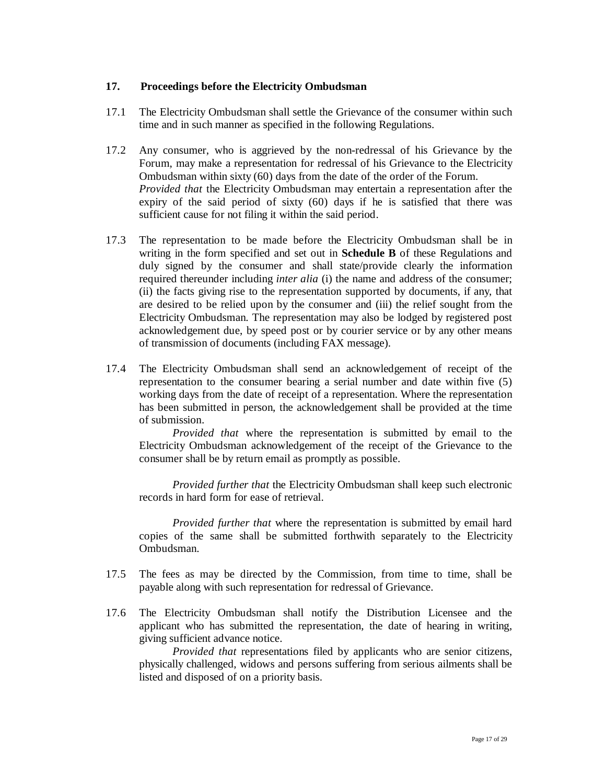### **17. Proceedings before the Electricity Ombudsman**

- 17.1 The Electricity Ombudsman shall settle the Grievance of the consumer within such time and in such manner as specified in the following Regulations.
- 17.2 Any consumer, who is aggrieved by the non-redressal of his Grievance by the Forum, may make a representation for redressal of his Grievance to the Electricity Ombudsman within sixty (60) days from the date of the order of the Forum. *Provided that* the Electricity Ombudsman may entertain a representation after the expiry of the said period of sixty (60) days if he is satisfied that there was sufficient cause for not filing it within the said period.
- 17.3 The representation to be made before the Electricity Ombudsman shall be in writing in the form specified and set out in **Schedule B** of these Regulations and duly signed by the consumer and shall state/provide clearly the information required thereunder including *inter alia* (i) the name and address of the consumer; (ii) the facts giving rise to the representation supported by documents, if any, that are desired to be relied upon by the consumer and (iii) the relief sought from the Electricity Ombudsman. The representation may also be lodged by registered post acknowledgement due, by speed post or by courier service or by any other means of transmission of documents (including FAX message).
- 17.4 The Electricity Ombudsman shall send an acknowledgement of receipt of the representation to the consumer bearing a serial number and date within five (5) working days from the date of receipt of a representation. Where the representation has been submitted in person, the acknowledgement shall be provided at the time of submission.

*Provided that* where the representation is submitted by email to the Electricity Ombudsman acknowledgement of the receipt of the Grievance to the consumer shall be by return email as promptly as possible.

 *Provided further that* the Electricity Ombudsman shall keep such electronic records in hard form for ease of retrieval.

 *Provided further that* where the representation is submitted by email hard copies of the same shall be submitted forthwith separately to the Electricity Ombudsman.

- 17.5 The fees as may be directed by the Commission, from time to time, shall be payable along with such representation for redressal of Grievance.
- 17.6 The Electricity Ombudsman shall notify the Distribution Licensee and the applicant who has submitted the representation, the date of hearing in writing, giving sufficient advance notice.

*Provided that* representations filed by applicants who are senior citizens, physically challenged, widows and persons suffering from serious ailments shall be listed and disposed of on a priority basis.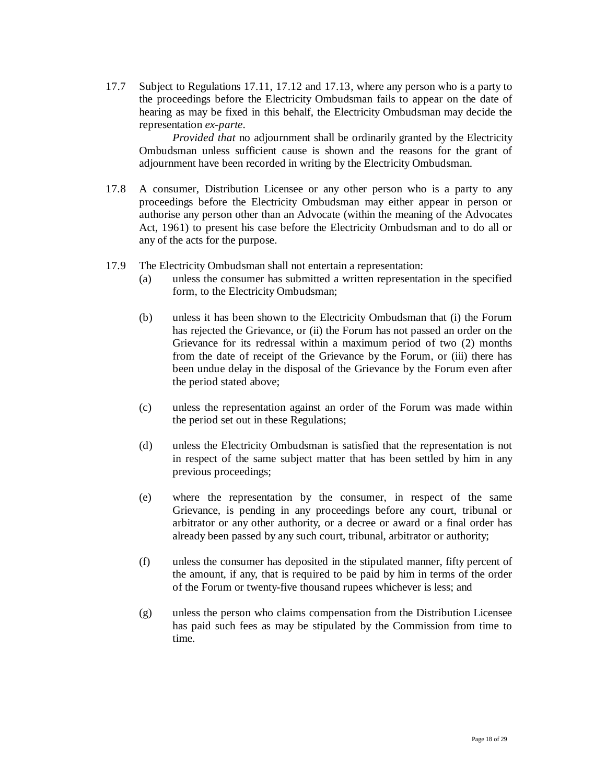17.7 Subject to Regulations 17.11, 17.12 and 17.13, where any person who is a party to the proceedings before the Electricity Ombudsman fails to appear on the date of hearing as may be fixed in this behalf, the Electricity Ombudsman may decide the representation *ex-parte*.

*Provided that* no adjournment shall be ordinarily granted by the Electricity Ombudsman unless sufficient cause is shown and the reasons for the grant of adjournment have been recorded in writing by the Electricity Ombudsman.

- 17.8 A consumer, Distribution Licensee or any other person who is a party to any proceedings before the Electricity Ombudsman may either appear in person or authorise any person other than an Advocate (within the meaning of the Advocates Act, 1961) to present his case before the Electricity Ombudsman and to do all or any of the acts for the purpose.
- 17.9 The Electricity Ombudsman shall not entertain a representation:
	- (a) unless the consumer has submitted a written representation in the specified form, to the Electricity Ombudsman;
	- (b) unless it has been shown to the Electricity Ombudsman that (i) the Forum has rejected the Grievance, or (ii) the Forum has not passed an order on the Grievance for its redressal within a maximum period of two (2) months from the date of receipt of the Grievance by the Forum, or (iii) there has been undue delay in the disposal of the Grievance by the Forum even after the period stated above;
	- (c) unless the representation against an order of the Forum was made within the period set out in these Regulations;
	- (d) unless the Electricity Ombudsman is satisfied that the representation is not in respect of the same subject matter that has been settled by him in any previous proceedings;
	- (e) where the representation by the consumer, in respect of the same Grievance, is pending in any proceedings before any court, tribunal or arbitrator or any other authority, or a decree or award or a final order has already been passed by any such court, tribunal, arbitrator or authority;
	- (f) unless the consumer has deposited in the stipulated manner, fifty percent of the amount, if any, that is required to be paid by him in terms of the order of the Forum or twenty-five thousand rupees whichever is less; and
	- (g) unless the person who claims compensation from the Distribution Licensee has paid such fees as may be stipulated by the Commission from time to time.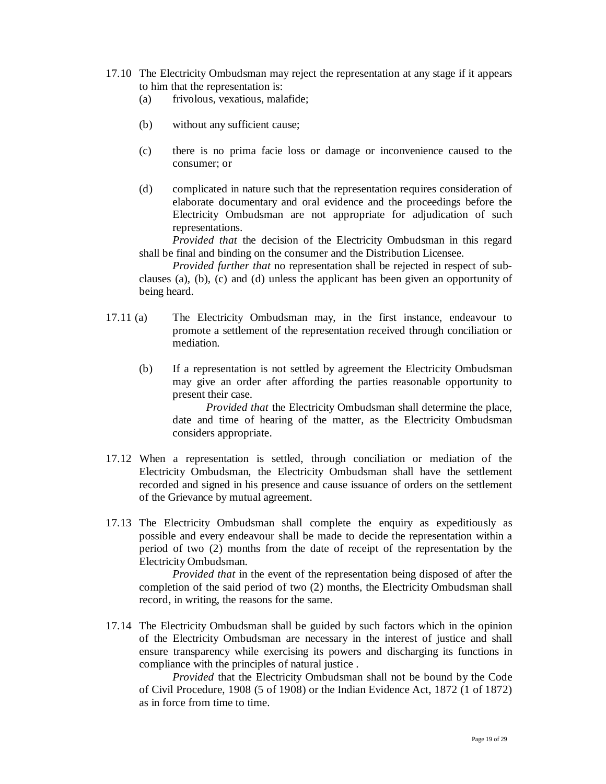- 17.10 The Electricity Ombudsman may reject the representation at any stage if it appears to him that the representation is:
	- (a) frivolous, vexatious, malafide;
	- (b) without any sufficient cause;
	- (c) there is no prima facie loss or damage or inconvenience caused to the consumer; or
	- (d) complicated in nature such that the representation requires consideration of elaborate documentary and oral evidence and the proceedings before the Electricity Ombudsman are not appropriate for adjudication of such representations.

*Provided that* the decision of the Electricity Ombudsman in this regard shall be final and binding on the consumer and the Distribution Licensee.

*Provided further that* no representation shall be rejected in respect of subclauses (a), (b), (c) and (d) unless the applicant has been given an opportunity of being heard.

- 17.11 (a) The Electricity Ombudsman may, in the first instance, endeavour to promote a settlement of the representation received through conciliation or mediation.
	- (b) If a representation is not settled by agreement the Electricity Ombudsman may give an order after affording the parties reasonable opportunity to present their case.

*Provided that* the Electricity Ombudsman shall determine the place, date and time of hearing of the matter, as the Electricity Ombudsman considers appropriate.

- 17.12 When a representation is settled, through conciliation or mediation of the Electricity Ombudsman, the Electricity Ombudsman shall have the settlement recorded and signed in his presence and cause issuance of orders on the settlement of the Grievance by mutual agreement.
- 17.13 The Electricity Ombudsman shall complete the enquiry as expeditiously as possible and every endeavour shall be made to decide the representation within a period of two (2) months from the date of receipt of the representation by the Electricity Ombudsman.

*Provided that* in the event of the representation being disposed of after the completion of the said period of two (2) months, the Electricity Ombudsman shall record, in writing, the reasons for the same.

17.14 The Electricity Ombudsman shall be guided by such factors which in the opinion of the Electricity Ombudsman are necessary in the interest of justice and shall ensure transparency while exercising its powers and discharging its functions in compliance with the principles of natural justice .

*Provided* that the Electricity Ombudsman shall not be bound by the Code of Civil Procedure, 1908 (5 of 1908) or the Indian Evidence Act, 1872 (1 of 1872) as in force from time to time.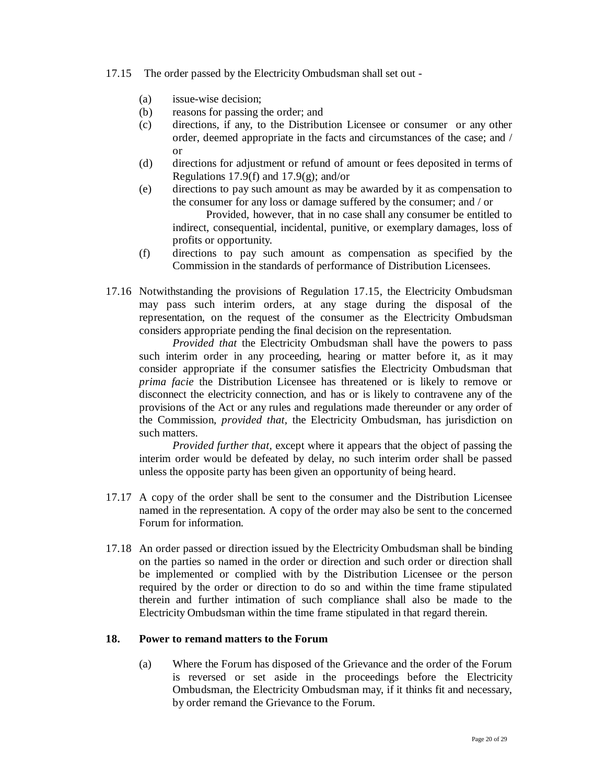#### 17.15 The order passed by the Electricity Ombudsman shall set out -

- (a) issue-wise decision;
- (b) reasons for passing the order; and
- (c) directions, if any, to the Distribution Licensee or consumer or any other order, deemed appropriate in the facts and circumstances of the case; and / or
- (d) directions for adjustment or refund of amount or fees deposited in terms of Regulations 17.9(f) and 17.9(g); and/or
- (e) directions to pay such amount as may be awarded by it as compensation to the consumer for any loss or damage suffered by the consumer; and / or Provided, however, that in no case shall any consumer be entitled to indirect, consequential, incidental, punitive, or exemplary damages, loss of profits or opportunity.
- (f) directions to pay such amount as compensation as specified by the Commission in the standards of performance of Distribution Licensees.
- 17.16 Notwithstanding the provisions of Regulation 17.15, the Electricity Ombudsman may pass such interim orders, at any stage during the disposal of the representation, on the request of the consumer as the Electricity Ombudsman considers appropriate pending the final decision on the representation.

*Provided that* the Electricity Ombudsman shall have the powers to pass such interim order in any proceeding, hearing or matter before it, as it may consider appropriate if the consumer satisfies the Electricity Ombudsman that *prima facie* the Distribution Licensee has threatened or is likely to remove or disconnect the electricity connection, and has or is likely to contravene any of the provisions of the Act or any rules and regulations made thereunder or any order of the Commission, *provided that,* the Electricity Ombudsman, has jurisdiction on such matters.

*Provided further that,* except where it appears that the object of passing the interim order would be defeated by delay, no such interim order shall be passed unless the opposite party has been given an opportunity of being heard.

- 17.17 A copy of the order shall be sent to the consumer and the Distribution Licensee named in the representation. A copy of the order may also be sent to the concerned Forum for information.
- 17.18 An order passed or direction issued by the Electricity Ombudsman shall be binding on the parties so named in the order or direction and such order or direction shall be implemented or complied with by the Distribution Licensee or the person required by the order or direction to do so and within the time frame stipulated therein and further intimation of such compliance shall also be made to the Electricity Ombudsman within the time frame stipulated in that regard therein.

#### **18. Power to remand matters to the Forum**

(a) Where the Forum has disposed of the Grievance and the order of the Forum is reversed or set aside in the proceedings before the Electricity Ombudsman, the Electricity Ombudsman may, if it thinks fit and necessary, by order remand the Grievance to the Forum.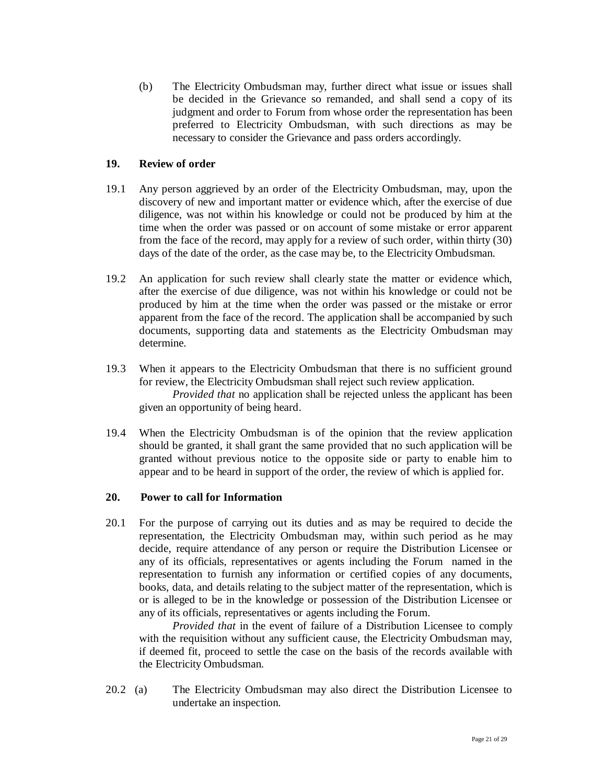(b) The Electricity Ombudsman may, further direct what issue or issues shall be decided in the Grievance so remanded, and shall send a copy of its judgment and order to Forum from whose order the representation has been preferred to Electricity Ombudsman, with such directions as may be necessary to consider the Grievance and pass orders accordingly.

### **19. Review of order**

- 19.1 Any person aggrieved by an order of the Electricity Ombudsman, may, upon the discovery of new and important matter or evidence which, after the exercise of due diligence, was not within his knowledge or could not be produced by him at the time when the order was passed or on account of some mistake or error apparent from the face of the record, may apply for a review of such order, within thirty (30) days of the date of the order, as the case may be, to the Electricity Ombudsman.
- 19.2 An application for such review shall clearly state the matter or evidence which, after the exercise of due diligence, was not within his knowledge or could not be produced by him at the time when the order was passed or the mistake or error apparent from the face of the record. The application shall be accompanied by such documents, supporting data and statements as the Electricity Ombudsman may determine.
- 19.3 When it appears to the Electricity Ombudsman that there is no sufficient ground for review, the Electricity Ombudsman shall reject such review application. *Provided that* no application shall be rejected unless the applicant has been given an opportunity of being heard.
- 19.4 When the Electricity Ombudsman is of the opinion that the review application should be granted, it shall grant the same provided that no such application will be granted without previous notice to the opposite side or party to enable him to appear and to be heard in support of the order, the review of which is applied for.

### **20. Power to call for Information**

20.1 For the purpose of carrying out its duties and as may be required to decide the representation, the Electricity Ombudsman may, within such period as he may decide, require attendance of any person or require the Distribution Licensee or any of its officials, representatives or agents including the Forum named in the representation to furnish any information or certified copies of any documents, books, data, and details relating to the subject matter of the representation, which is or is alleged to be in the knowledge or possession of the Distribution Licensee or any of its officials, representatives or agents including the Forum.

*Provided that* in the event of failure of a Distribution Licensee to comply with the requisition without any sufficient cause, the Electricity Ombudsman may, if deemed fit, proceed to settle the case on the basis of the records available with the Electricity Ombudsman.

20.2 (a) The Electricity Ombudsman may also direct the Distribution Licensee to undertake an inspection.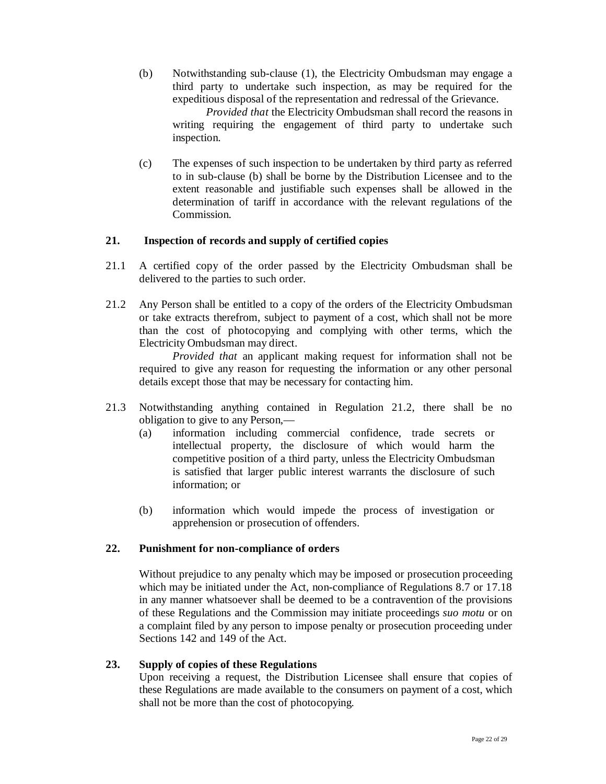(b) Notwithstanding sub-clause (1), the Electricity Ombudsman may engage a third party to undertake such inspection, as may be required for the expeditious disposal of the representation and redressal of the Grievance.

*Provided that* the Electricity Ombudsman shall record the reasons in writing requiring the engagement of third party to undertake such inspection.

(c) The expenses of such inspection to be undertaken by third party as referred to in sub-clause (b) shall be borne by the Distribution Licensee and to the extent reasonable and justifiable such expenses shall be allowed in the determination of tariff in accordance with the relevant regulations of the Commission.

### **21. Inspection of records and supply of certified copies**

- 21.1 A certified copy of the order passed by the Electricity Ombudsman shall be delivered to the parties to such order.
- 21.2 Any Person shall be entitled to a copy of the orders of the Electricity Ombudsman or take extracts therefrom, subject to payment of a cost, which shall not be more than the cost of photocopying and complying with other terms, which the Electricity Ombudsman may direct.

*Provided that* an applicant making request for information shall not be required to give any reason for requesting the information or any other personal details except those that may be necessary for contacting him.

- 21.3 Notwithstanding anything contained in Regulation 21.2, there shall be no obligation to give to any Person,—
	- (a) information including commercial confidence, trade secrets or intellectual property, the disclosure of which would harm the competitive position of a third party, unless the Electricity Ombudsman is satisfied that larger public interest warrants the disclosure of such information; or
	- (b) information which would impede the process of investigation or apprehension or prosecution of offenders.

### **22. Punishment for non-compliance of orders**

Without prejudice to any penalty which may be imposed or prosecution proceeding which may be initiated under the Act, non-compliance of Regulations 8.7 or 17.18 in any manner whatsoever shall be deemed to be a contravention of the provisions of these Regulations and the Commission may initiate proceedings *suo motu* or on a complaint filed by any person to impose penalty or prosecution proceeding under Sections 142 and 149 of the Act.

### **23. Supply of copies of these Regulations**

Upon receiving a request, the Distribution Licensee shall ensure that copies of these Regulations are made available to the consumers on payment of a cost, which shall not be more than the cost of photocopying.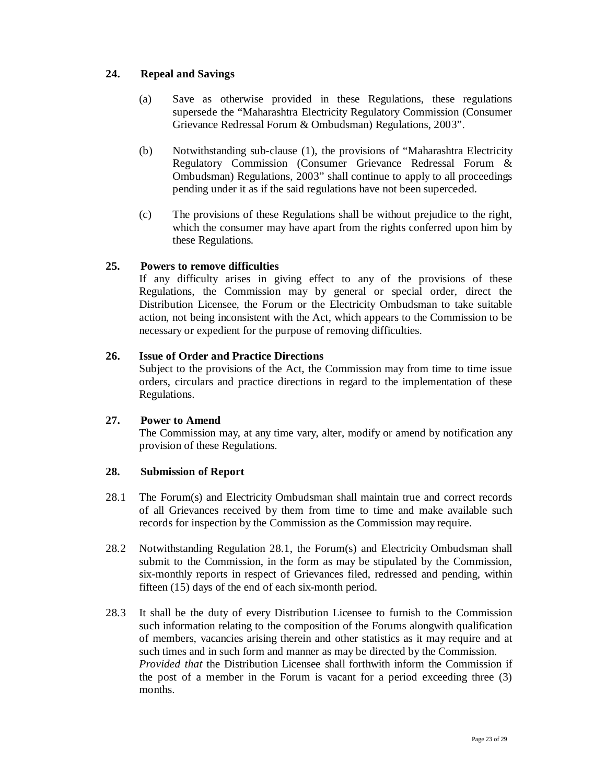## **24. Repeal and Savings**

- (a) Save as otherwise provided in these Regulations, these regulations supersede the "Maharashtra Electricity Regulatory Commission (Consumer Grievance Redressal Forum & Ombudsman) Regulations, 2003".
- (b) Notwithstanding sub-clause (1), the provisions of "Maharashtra Electricity Regulatory Commission (Consumer Grievance Redressal Forum & Ombudsman) Regulations, 2003" shall continue to apply to all proceedings pending under it as if the said regulations have not been superceded.
- (c) The provisions of these Regulations shall be without prejudice to the right, which the consumer may have apart from the rights conferred upon him by these Regulations.

## **25. Powers to remove difficulties**

If any difficulty arises in giving effect to any of the provisions of these Regulations, the Commission may by general or special order, direct the Distribution Licensee, the Forum or the Electricity Ombudsman to take suitable action, not being inconsistent with the Act, which appears to the Commission to be necessary or expedient for the purpose of removing difficulties.

## **26. Issue of Order and Practice Directions**

Subject to the provisions of the Act, the Commission may from time to time issue orders, circulars and practice directions in regard to the implementation of these Regulations.

### **27. Power to Amend**

The Commission may, at any time vary, alter, modify or amend by notification any provision of these Regulations.

### **28. Submission of Report**

- 28.1 The Forum(s) and Electricity Ombudsman shall maintain true and correct records of all Grievances received by them from time to time and make available such records for inspection by the Commission as the Commission may require.
- 28.2 Notwithstanding Regulation 28.1, the Forum(s) and Electricity Ombudsman shall submit to the Commission, in the form as may be stipulated by the Commission, six-monthly reports in respect of Grievances filed, redressed and pending, within fifteen (15) days of the end of each six-month period.
- 28.3 It shall be the duty of every Distribution Licensee to furnish to the Commission such information relating to the composition of the Forums alongwith qualification of members, vacancies arising therein and other statistics as it may require and at such times and in such form and manner as may be directed by the Commission. *Provided that* the Distribution Licensee shall forthwith inform the Commission if the post of a member in the Forum is vacant for a period exceeding three (3) months.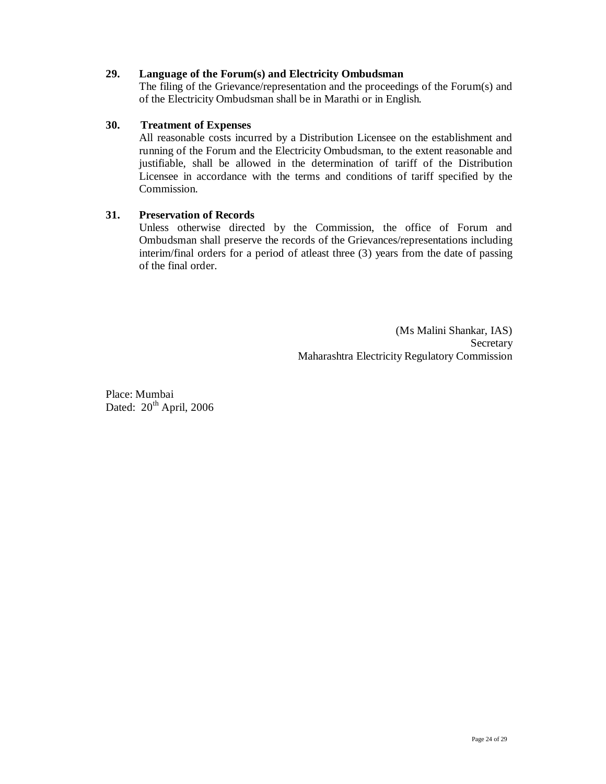## **29. Language of the Forum(s) and Electricity Ombudsman**

The filing of the Grievance/representation and the proceedings of the Forum(s) and of the Electricity Ombudsman shall be in Marathi or in English.

### **30. Treatment of Expenses**

All reasonable costs incurred by a Distribution Licensee on the establishment and running of the Forum and the Electricity Ombudsman, to the extent reasonable and justifiable, shall be allowed in the determination of tariff of the Distribution Licensee in accordance with the terms and conditions of tariff specified by the Commission.

## **31. Preservation of Records**

Unless otherwise directed by the Commission, the office of Forum and Ombudsman shall preserve the records of the Grievances/representations including interim/final orders for a period of atleast three (3) years from the date of passing of the final order.

> (Ms Malini Shankar, IAS) Secretary Maharashtra Electricity Regulatory Commission

Place: Mumbai Dated:  $20<sup>th</sup>$  April, 2006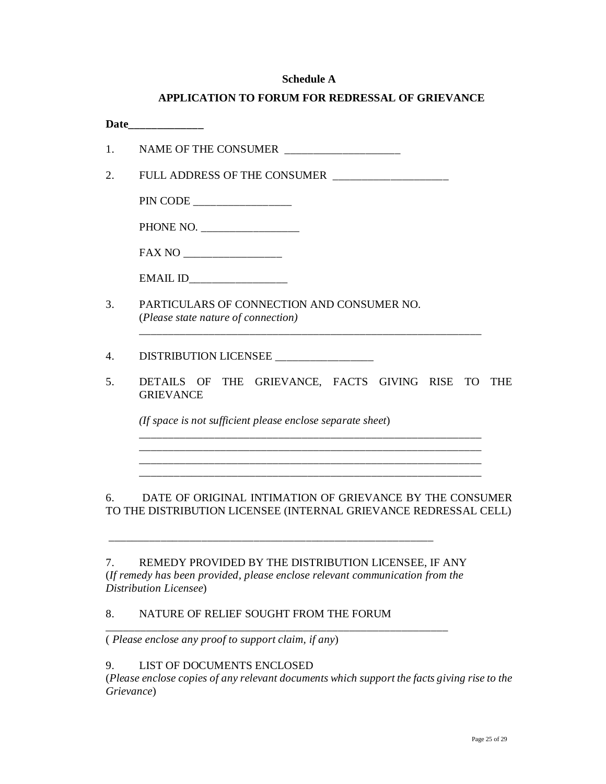#### **Schedule A**

| <b>APPLICATION TO FORUM FOR REDRESSAL OF GRIEVANCE</b> |  |  |
|--------------------------------------------------------|--|--|
|                                                        |  |  |

| NAME OF THE CONSUMER ____________________                                                                                                                                                                                                                                                                                                                                                                                                                                                                                |
|--------------------------------------------------------------------------------------------------------------------------------------------------------------------------------------------------------------------------------------------------------------------------------------------------------------------------------------------------------------------------------------------------------------------------------------------------------------------------------------------------------------------------|
| FULL ADDRESS OF THE CONSUMER ____________________                                                                                                                                                                                                                                                                                                                                                                                                                                                                        |
| $\label{eq:1} \begin{minipage}{.4\linewidth} \text{PIN CODE} \xspace{0.0000cm} \begin{minipage}{.4\linewidth} \text{PIN CODE} \xspace{0.0000cm} \begin{minipage}{.4\linewidth} \text{PIN CODE} \end{minipage} \end{minipage} \begin{minipage}{.4\linewidth} \begin{minipage}{.4\linewidth} \begin{minipage}{.4\linewidth} \text{NLODE} \end{minipage} \end{minipage} \begin{minipage}{.4\linewidth} \begin{minipage}{.4\linewidth} \begin{minipage}{.4\linewidth} \text{NLODE} \end{minipage} \end{minipage} \begin{min$ |
| PHONE NO. ____________________                                                                                                                                                                                                                                                                                                                                                                                                                                                                                           |
|                                                                                                                                                                                                                                                                                                                                                                                                                                                                                                                          |
| EMAIL ID_____________________                                                                                                                                                                                                                                                                                                                                                                                                                                                                                            |
| PARTICULARS OF CONNECTION AND CONSUMER NO.<br>(Please state nature of connection)                                                                                                                                                                                                                                                                                                                                                                                                                                        |
| DISTRIBUTION LICENSEE                                                                                                                                                                                                                                                                                                                                                                                                                                                                                                    |
| DETAILS OF THE GRIEVANCE, FACTS GIVING RISE TO THE<br><b>GRIEVANCE</b>                                                                                                                                                                                                                                                                                                                                                                                                                                                   |
| (If space is not sufficient please enclose separate sheet)                                                                                                                                                                                                                                                                                                                                                                                                                                                               |
|                                                                                                                                                                                                                                                                                                                                                                                                                                                                                                                          |
|                                                                                                                                                                                                                                                                                                                                                                                                                                                                                                                          |

7. REMEDY PROVIDED BY THE DISTRIBUTION LICENSEE, IF ANY (*If remedy has been provided, please enclose relevant communication from the Distribution Licensee*)

\_\_\_\_\_\_\_\_\_\_\_\_\_\_\_\_\_\_\_\_\_\_\_\_\_\_\_\_\_\_\_\_\_\_\_\_\_\_\_\_\_\_\_\_\_\_\_\_\_\_\_\_\_\_\_\_\_\_\_

\_\_\_\_\_\_\_\_\_\_\_\_\_\_\_\_\_\_\_\_\_\_\_\_\_\_\_\_\_\_\_\_\_\_\_\_\_\_\_\_\_\_\_\_\_\_\_\_\_\_\_\_\_\_\_\_

#### 8. NATURE OF RELIEF SOUGHT FROM THE FORUM

( *Please enclose any proof to support claim, if any*)

## 9. LIST OF DOCUMENTS ENCLOSED

(*Please enclose copies of any relevant documents which support the facts giving rise to the Grievance*)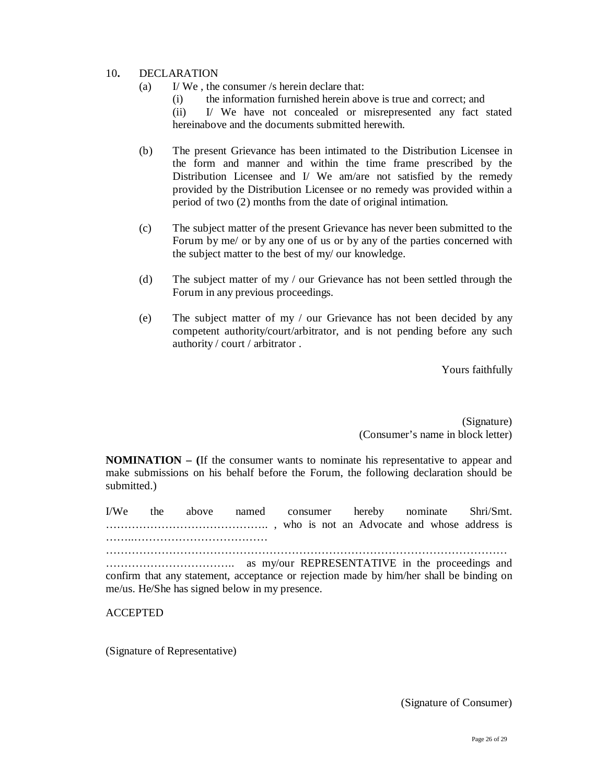#### 10**.** DECLARATION

- (a) I/ We , the consumer /s herein declare that:
	- (i) the information furnished herein above is true and correct; and

(ii) I/ We have not concealed or misrepresented any fact stated hereinabove and the documents submitted herewith.

- (b) The present Grievance has been intimated to the Distribution Licensee in the form and manner and within the time frame prescribed by the Distribution Licensee and I/ We am/are not satisfied by the remedy provided by the Distribution Licensee or no remedy was provided within a period of two (2) months from the date of original intimation.
- (c) The subject matter of the present Grievance has never been submitted to the Forum by me/ or by any one of us or by any of the parties concerned with the subject matter to the best of my/ our knowledge.
- (d) The subject matter of my / our Grievance has not been settled through the Forum in any previous proceedings.
- (e) The subject matter of my / our Grievance has not been decided by any competent authority/court/arbitrator, and is not pending before any such authority / court / arbitrator .

Yours faithfully

(Signature) (Consumer's name in block letter)

**NOMINATION – (**If the consumer wants to nominate his representative to appear and make submissions on his behalf before the Forum, the following declaration should be submitted.)

I/We the above named consumer hereby nominate Shri/Smt. …………………………………….. , who is not an Advocate and whose address is ……..……………………………… ………………………………………………………………………………………………

…………………………….. as my/our REPRESENTATIVE in the proceedings and confirm that any statement, acceptance or rejection made by him/her shall be binding on me/us. He/She has signed below in my presence.

ACCEPTED

(Signature of Representative)

(Signature of Consumer)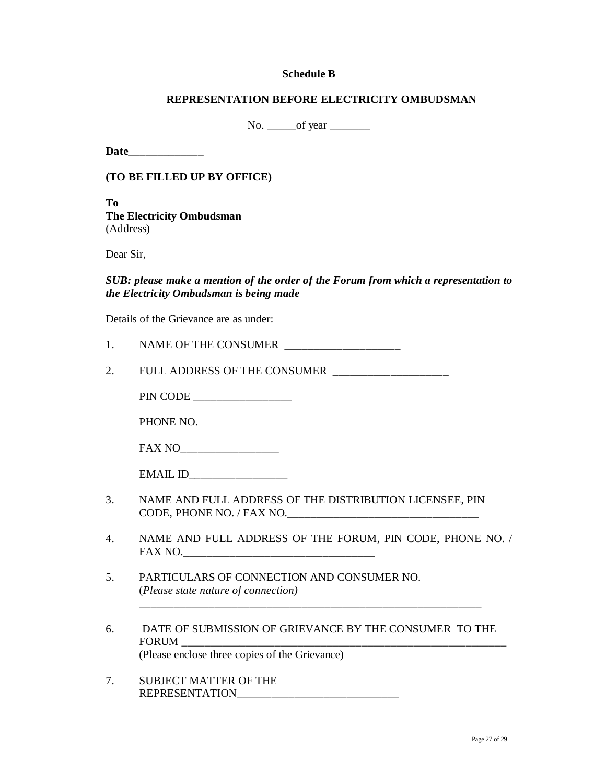#### **Schedule B**

#### **REPRESENTATION BEFORE ELECTRICITY OMBUDSMAN**

No. \_\_\_\_\_of year \_\_\_\_\_\_\_

**Date\_\_\_\_\_\_\_\_\_\_\_\_\_**

**(TO BE FILLED UP BY OFFICE)**

**To The Electricity Ombudsman** (Address)

Dear Sir,

*SUB: please make a mention of the order of the Forum from which a representation to the Electricity Ombudsman is being made*

Details of the Grievance are as under:

| NAME OF THE CONSUMER |  |
|----------------------|--|
|                      |  |

2. FULL ADDRESS OF THE CONSUMER

PIN CODE

PHONE NO.

| <b>FAX NO</b> |  |
|---------------|--|
|---------------|--|

| EMAIL ID |  |
|----------|--|
|----------|--|

- 3. NAME AND FULL ADDRESS OF THE DISTRIBUTION LICENSEE, PIN CODE, PHONE NO. / FAX NO.\_\_\_\_\_\_\_\_\_\_\_\_\_\_\_\_\_\_\_\_\_\_\_\_\_\_\_\_\_\_\_\_\_
- 4. NAME AND FULL ADDRESS OF THE FORUM, PIN CODE, PHONE NO. / FAX NO.
- 5. PARTICULARS OF CONNECTION AND CONSUMER NO. (*Please state nature of connection)*
- 6. DATE OF SUBMISSION OF GRIEVANCE BY THE CONSUMER TO THE FORUM (Please enclose three copies of the Grievance)

 *\_\_\_\_\_\_\_\_\_\_\_\_\_\_\_\_\_\_\_\_\_\_\_\_\_\_\_\_\_\_\_\_\_\_\_\_\_\_\_\_\_\_\_\_\_\_\_\_\_\_\_\_\_\_\_\_\_\_\_*

7. SUBJECT MATTER OF THE REPRESENTATION\_\_\_\_\_\_\_\_\_\_\_\_\_\_\_\_\_\_\_\_\_\_\_\_\_\_\_\_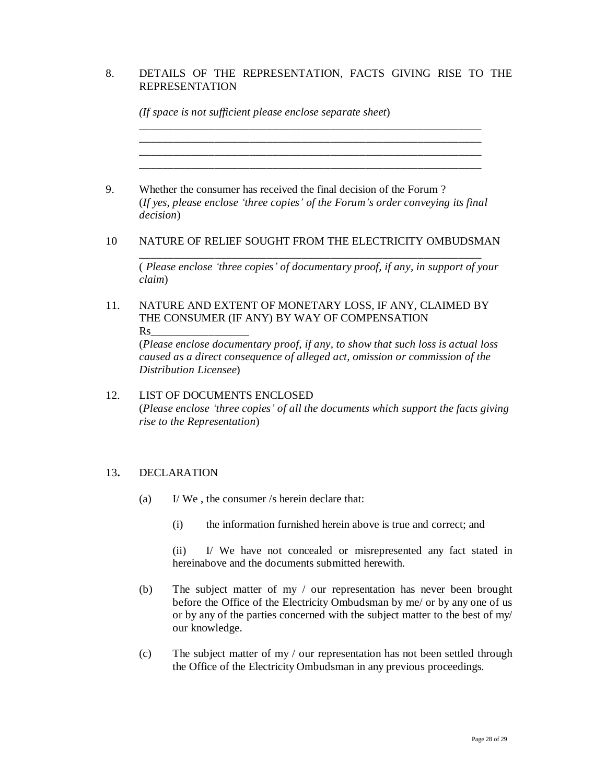# 8. DETAILS OF THE REPRESENTATION, FACTS GIVING RISE TO THE REPRESENTATION

|                   | (If space is not sufficient please enclose separate sheet)                                                                                                                                                                                           |
|-------------------|------------------------------------------------------------------------------------------------------------------------------------------------------------------------------------------------------------------------------------------------------|
| <i>decision</i> ) | Whether the consumer has received the final decision of the Forum?<br>(If yes, please enclose 'three copies' of the Forum's order conveying its final                                                                                                |
|                   | NATURE OF RELIEF SOUGHT FROM THE ELECTRICITY OMBUDSMAN                                                                                                                                                                                               |
| claim)            | (Please enclose 'three copies' of documentary proof, if any, in support of your                                                                                                                                                                      |
| $\rm Rs$          | NATURE AND EXTENT OF MONETARY LOSS, IF ANY, CLAIMED BY<br>THE CONSUMER (IF ANY) BY WAY OF COMPENSATION                                                                                                                                               |
|                   | (Please enclose documentary proof, if any, to show that such loss is actual loss<br>caused as a direct consequence of alleged act, omission or commission of the<br>Distribution Licensee)                                                           |
|                   | <b>LIST OF DOCUMENTS ENCLOSED</b><br>(Please enclose 'three copies' of all the documents which support the facts giving<br>rise to the Representation)                                                                                               |
|                   | <b>DECLARATION</b>                                                                                                                                                                                                                                   |
| (a)               | I/We, the consumer /s herein declare that:                                                                                                                                                                                                           |
|                   | the information furnished herein above is true and correct; and<br>(i)                                                                                                                                                                               |
|                   | I/ We have not concealed or misrepresented any fact stated in<br>(ii)<br>hereinabove and the documents submitted herewith.                                                                                                                           |
| (b)               | The subject matter of my / our representation has never been brought<br>before the Office of the Electricity Ombudsman by me/ or by any one of us<br>or by any of the parties concerned with the subject matter to the best of my/<br>our knowledge. |

(c) The subject matter of my / our representation has not been settled through the Office of the Electricity Ombudsman in any previous proceedings.